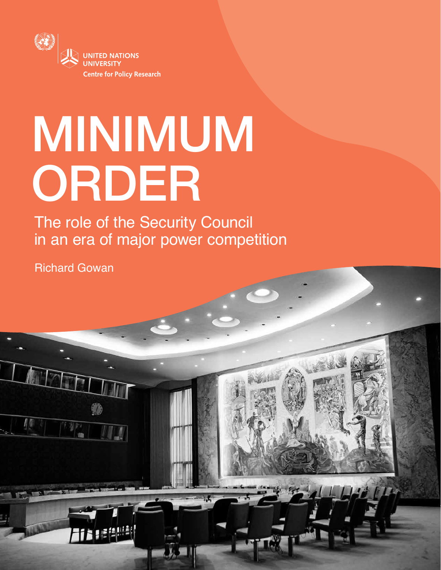

# MINIMUM ORDER

The role of the Security Council in an era of major power competition

Richard Gowan

月價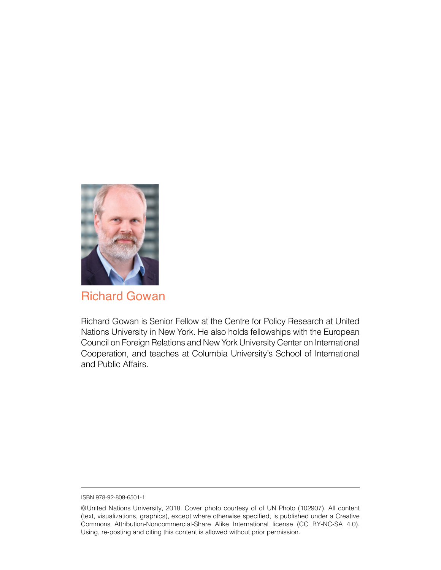

Richard Gowan

Richard Gowan is Senior Fellow at the Centre for Policy Research at United Nations University in New York. He also holds fellowships with the European Council on Foreign Relations and New York University Center on International Cooperation, and teaches at Columbia University's School of International and Public Affairs.

ISBN 978-92-808-6501-1

<sup>©</sup>United Nations University, 2018. Cover photo courtesy of of UN Photo (102907). All content (text, visualizations, graphics), except where otherwise specified, is published under a Creative Commons Attribution-Noncommercial-Share Alike International license (CC BY-NC-SA 4.0). Using, re-posting and citing this content is allowed without prior permission.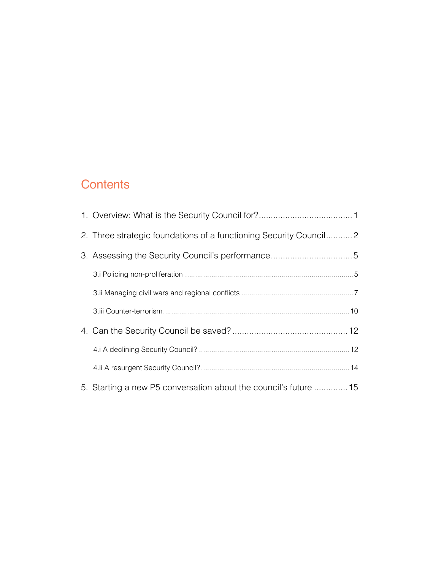# **Contents**

| 2. Three strategic foundations of a functioning Security Council |  |
|------------------------------------------------------------------|--|
|                                                                  |  |
|                                                                  |  |
|                                                                  |  |
|                                                                  |  |
|                                                                  |  |
|                                                                  |  |
|                                                                  |  |
| 5. Starting a new P5 conversation about the council's future  15 |  |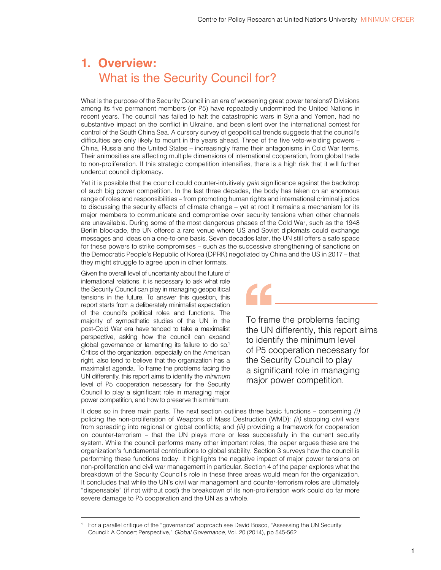## <span id="page-3-0"></span>**1. Overview:**  What is the Security Council for?

What is the purpose of the Security Council in an era of worsening great power tensions? Divisions among its five permanent members (or P5) have repeatedly undermined the United Nations in recent years. The council has failed to halt the catastrophic wars in Syria and Yemen, had no substantive impact on the conflict in Ukraine, and been silent over the international contest for control of the South China Sea. A cursory survey of geopolitical trends suggests that the council's difficulties are only likely to mount in the years ahead. Three of the five veto-wielding powers – China, Russia and the United States – increasingly frame their antagonisms in Cold War terms. Their animosities are affecting multiple dimensions of international cooperation, from global trade to non-proliferation. If this strategic competition intensifies, there is a high risk that it will further undercut council diplomacy.

Yet it is possible that the council could counter-intuitively *gain* significance against the backdrop of such big power competition. In the last three decades, the body has taken on an enormous range of roles and responsibilities – from promoting human rights and international criminal justice to discussing the security effects of climate change – yet at root it remains a mechanism for its major members to communicate and compromise over security tensions when other channels are unavailable. During some of the most dangerous phases of the Cold War, such as the 1948 Berlin blockade, the UN offered a rare venue where US and Soviet diplomats could exchange messages and ideas on a one-to-one basis. Seven decades later, the UN still offers a safe space for these powers to strike compromises – such as the successive strengthening of sanctions on the Democratic People's Republic of Korea (DPRK) negotiated by China and the US in 2017 – that they might struggle to agree upon in other formats.

CC,

Given the overall level of uncertainty about the future of international relations, it is necessary to ask what role the Security Council can play in managing geopolitical tensions in the future. To answer this question, this report starts from a deliberately minimalist expectation of the council's political roles and functions. The majority of sympathetic studies of the UN in the post-Cold War era have tended to take a maximalist perspective, asking how the council can expand global governance or lamenting its failure to do so.<sup>1</sup> Critics of the organization, especially on the American right, also tend to believe that the organization has a maximalist agenda. To frame the problems facing the UN differently, this report aims to identify the *minimum* level of P5 cooperation necessary for the Security Council to play a significant role in managing major power competition, and how to preserve this minimum.

To frame the problems facing the UN differently, this report aims to identify the minimum level of P5 cooperation necessary for the Security Council to play a significant role in managing major power competition.

It does so in three main parts. The next section outlines three basic functions – concerning *(i)*  policing the non-proliferation of Weapons of Mass Destruction (WMD): *(ii)* stopping civil wars from spreading into regional or global conflicts; and *(iii)* providing a framework for cooperation on counter-terrorism – that the UN plays more or less successfully in the current security system. While the council performs many other important roles, the paper argues these are the organization's fundamental contributions to global stability. Section 3 surveys how the council is performing these functions today. It highlights the negative impact of major power tensions on non-proliferation and civil war management in particular. Section 4 of the paper explores what the breakdown of the Security Council's role in these three areas would mean for the organization. It concludes that while the UN's civil war management and counter-terrorism roles are ultimately "dispensable" (if not without cost) the breakdown of its non-proliferation work could do far more severe damage to P5 cooperation and the UN as a whole.

<sup>1</sup> For a parallel critique of the "governance" approach see David Bosco, "Assessing the UN Security Council: A Concert Perspective," *Global Governance*, Vol. 20 (2014), pp 545-562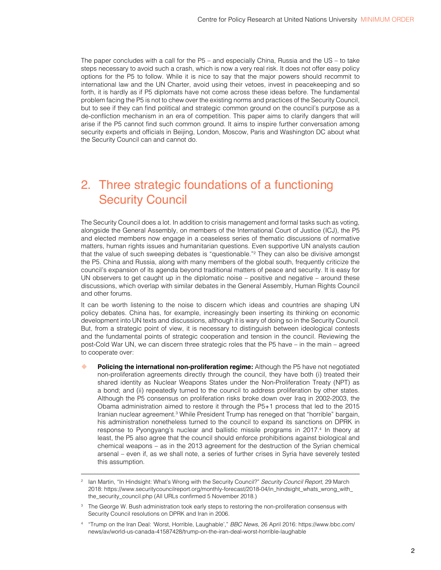<span id="page-4-0"></span>The paper concludes with a call for the P5 – and especially China, Russia and the US – to take steps necessary to avoid such a crash, which is now a very real risk. It does not offer easy policy options for the P5 to follow. While it is nice to say that the major powers should recommit to international law and the UN Charter, avoid using their vetoes, invest in peacekeeping and so forth, it is hardly as if P5 diplomats have not come across these ideas before. The fundamental problem facing the P5 is not to chew over the existing norms and practices of the Security Council, but to see if they can find political and strategic common ground on the council's purpose as a de-confliction mechanism in an era of competition. This paper aims to clarify dangers that will arise if the P5 cannot find such common ground. It aims to inspire further conversation among security experts and officials in Beijing, London, Moscow, Paris and Washington DC about what the Security Council can and cannot do.

# 2. Three strategic foundations of a functioning Security Council

The Security Council does a lot. In addition to crisis management and formal tasks such as voting, alongside the General Assembly, on members of the International Court of Justice (ICJ), the P5 and elected members now engage in a ceaseless series of thematic discussions of normative matters, human rights issues and humanitarian questions. Even supportive UN analysts caution that the value of such sweeping debates is "questionable."2 They can also be divisive amongst the P5. China and Russia, along with many members of the global south, frequently criticize the council's expansion of its agenda beyond traditional matters of peace and security. It is easy for UN observers to get caught up in the diplomatic noise – positive and negative – around these discussions, which overlap with similar debates in the General Assembly, Human Rights Council and other forums.

It can be worth listening to the noise to discern which ideas and countries are shaping UN policy debates. China has, for example, increasingly been inserting its thinking on economic development into UN texts and discussions, although it is wary of doing so in the Security Council. But, from a strategic point of view, it is necessary to distinguish between ideological contests and the fundamental points of strategic cooperation and tension in the council. Reviewing the post-Cold War UN, we can discern three strategic roles that the P5 have – in the main – agreed to cooperate over:

**Policing the international non-proliferation regime:** Although the P5 have not negotiated non-proliferation agreements directly through the council, they have both (i) treated their shared identity as Nuclear Weapons States under the Non-Proliferation Treaty (NPT) as a bond; and (ii) repeatedly turned to the council to address proliferation by other states. Although the P5 consensus on proliferation risks broke down over Iraq in 2002-2003, the Obama administration aimed to restore it through the P5+1 process that led to the 2015 Iranian nuclear agreement.<sup>3</sup> While President Trump has reneged on that "horrible" bargain, his administration nonetheless turned to the council to expand its sanctions on DPRK in response to Pyongyang's nuclear and ballistic missile programs in 2017.4 In theory at least, the P5 also agree that the council should enforce prohibitions against biological and chemical weapons – as in the 2013 agreement for the destruction of the Syrian chemical arsenal – even if, as we shall note, a series of further crises in Syria have severely tested this assumption.

<sup>2</sup> Ian Martin, "In Hindsight: What's Wrong with the Security Council?" *Security Council Report*, 29 March 2018: [https://www.securitycouncilreport.org/monthly-forecast/2018-04/in\\_hindsight\\_whats\\_wrong\\_with\\_](https://www.securitycouncilreport.org/monthly-forecast/2018-04/in_hindsight_whats_wrong_with_the_security_council.php) [the\\_security\\_council.php](https://www.securitycouncilreport.org/monthly-forecast/2018-04/in_hindsight_whats_wrong_with_the_security_council.php) (All URLs confirmed 5 November 2018.)

<sup>&</sup>lt;sup>3</sup> The George W. Bush administration took early steps to restoring the non-proliferation consensus with Security Council resolutions on DPRK and Iran in 2006.

<sup>4</sup> "Trump on the Iran Deal: 'Worst, Horrible, Laughable'," *BBC News*, 26 April 2016: [https://www.bbc.com/](https://www.bbc.com/news/av/world-us-canada-41587428/trump-on-the-iran-deal-worst-horrible-laughable) [news/av/world-us-canada-41587428/trump-on-the-iran-deal-worst-horrible-laughable](https://www.bbc.com/news/av/world-us-canada-41587428/trump-on-the-iran-deal-worst-horrible-laughable)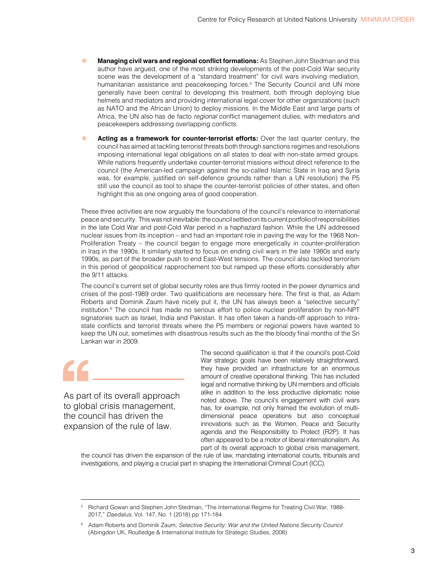- **Managing civil wars and regional conflict formations:** As Stephen John Stedman and this author have argued, one of the most striking developments of the post-Cold War security scene was the development of a "standard treatment" for civil wars involving mediation, humanitarian assistance and peacekeeping forces.<sup>5</sup> The Security Council and UN more generally have been central to developing this treatment, both through deploying blue helmets and mediators and providing international legal cover for other organizations (such as NATO and the African Union) to deploy missions. In the Middle East and large parts of Africa, the UN also has de facto *regional* conflict management duties, with mediators and peacekeepers addressing overlapping conflicts.
- **Acting as a framework for counter-terrorist efforts:** Over the last quarter century, the council has aimed at tackling terrorist threats both through sanctions regimes and resolutions imposing international legal obligations on all states to deal with non-state armed groups. While nations frequently undertake counter-terrorist missions without direct reference to the council (the American-led campaign against the so-called Islamic State in Iraq and Syria was, for example, justified on self-defence grounds rather than a UN resolution) the P5 still use the council as tool to shape the counter-terrorist policies of other states, and often highlight this as one ongoing area of good cooperation.

These three activities are now arguably the foundations of the council's relevance to international peace and security. This was not inevitable: the council settled on its current portfolio of responsibilities in the late Cold War and post-Cold War period in a haphazard fashion. While the UN addressed nuclear issues from its inception – and had an important role in paving the way for the 1968 Non-Proliferation Treaty – the council began to engage more energetically in counter-proliferation in Iraq in the 1990s. It similarly started to focus on ending civil wars in the late 1980s and early 1990s, as part of the broader push to end East-West tensions. The council also tackled terrorism in this period of geopolitical rapprochement too but ramped up these efforts considerably after the 9/11 attacks.

The council's current set of global security roles are thus firmly rooted in the power dynamics and crises of the post-1989 order. Two qualifications are necessary here. The first is that, as Adam Roberts and Dominik Zaum have nicely put it, the UN has always been a "selective security" institution.<sup>6</sup> The council has made no serious effort to police nuclear proliferation by non-NPT signatories such as Israel, India and Pakistan. It has often taken a hands-off approach to intrastate conflicts and terrorist threats where the P5 members or regional powers have wanted to keep the UN out, sometimes with disastrous results such as the the bloody final months of the Sri Lankan war in 2009.

As part of its overall approach to global crisis management, the council has driven the expansion of the rule of law.

The second qualification is that if the council's post-Cold War strategic goals have been relatively straightforward, they have provided an infrastructure for an enormous amount of creative operational thinking. This has included legal and normative thinking by UN members and officials alike in addition to the less productive diplomatic noise noted above. The council's engagement with civil wars has, for example, not only framed the evolution of multidimensional peace operations but also conceptual innovations such as the Women, Peace and Security agenda and the Responsibility to Protect (R2P). It has often appeared to be a motor of liberal internationalism. As part of its overall approach to global crisis management,

the council has driven the expansion of the rule of law, mandating international courts, tribunals and investigations, and playing a crucial part in shaping the International Criminal Court (ICC).

<sup>5</sup> Richard Gowan and Stephen John Stedman, "The International Regime for Treating Civil War, 1988- 2017," *Daedalus*, Vol. 147, No. 1 (2018) pp 171-184

<sup>6</sup> Adam Roberts and Dominik Zaum, *Selective Security: War and the United Nations Security Council*  (Abingdon UK, Routledge & International Institute for Strategic Studies, 2008)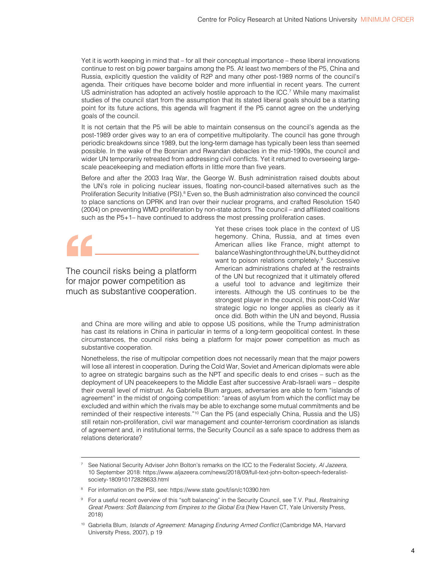Yet it is worth keeping in mind that – for all their conceptual importance – these liberal innovations continue to rest on big power bargains among the P5. At least two members of the P5, China and Russia, explicitly question the validity of R2P and many other post-1989 norms of the council's agenda. Their critiques have become bolder and more influential in recent years. The current US administration has adopted an actively hostile approach to the ICC.<sup>7</sup> While many maximalist studies of the council start from the assumption that its stated liberal goals should be a starting point for its future actions, this agenda will fragment if the P5 cannot agree on the underlying goals of the council.

It is not certain that the P5 will be able to maintain consensus on the council's agenda as the post-1989 order gives way to an era of competitive multipolarity. The council has gone through periodic breakdowns since 1989, but the long-term damage has typically been less than seemed possible. In the wake of the Bosnian and Rwandan debacles in the mid-1990s, the council and wider UN temporarily retreated from addressing civil conflicts. Yet it returned to overseeing largescale peacekeeping and mediation efforts in little more than five years.

Before and after the 2003 Iraq War, the George W. Bush administration raised doubts about the UN's role in policing nuclear issues, floating non-council-based alternatives such as the Proliferation Security Initiative (PSI).<sup>8</sup> Even so, the Bush administration also convinced the council to place sanctions on DPRK and Iran over their nuclear programs, and crafted Resolution 1540 (2004) on preventing WMD proliferation by non-state actors. The council – and affiliated coalitions such as the P5+1– have continued to address the most pressing proliferation cases.

The council risks being a platform for major power competition as much as substantive cooperation. Yet these crises took place in the context of US hegemony. China, Russia, and at times even American allies like France, might attempt to balance Washington through the UN, but they did not want to poison relations completely.<sup>9</sup> Successive American administrations chafed at the restraints of the UN but recognized that it ultimately offered a useful tool to advance and legitimize their interests. Although the US continues to be the strongest player in the council, this post-Cold War strategic logic no longer applies as clearly as it once did. Both within the UN and beyond, Russia

and China are more willing and able to oppose US positions, while the Trump administration has cast its relations in China in particular in terms of a long-term geopolitical contest. In these circumstances, the council risks being a platform for major power competition as much as substantive cooperation.

Nonetheless, the rise of multipolar competition does not necessarily mean that the major powers will lose all interest in cooperation. During the Cold War, Soviet and American diplomats were able to agree on strategic bargains such as the NPT and specific deals to end crises – such as the deployment of UN peacekeepers to the Middle East after successive Arab-Israeli wars – despite their overall level of mistrust. As Gabriella Blum argues, adversaries are able to form "islands of agreement" in the midst of ongoing competition: "areas of asylum from which the conflict may be excluded and within which the rivals may be able to exchange some mutual commitments and be reminded of their respective interests."10 Can the P5 (and especially China, Russia and the US) still retain non-proliferation, civil war management and counter-terrorism coordination as islands of agreement and, in institutional terms, the Security Council as a safe space to address them as relations deteriorate?

<sup>7</sup> See National Security Adviser John Bolton's remarks on the ICC to the Federalist Society, *Al Jazeera*, 10 September 2018: [https://www.aljazeera.com/news/2018/09/full-text-john-bolton-speech-federalist](https://www.aljazeera.com/news/2018/09/full-text-john-bolton-speech-federalist-society-180910172828633.html)[society-180910172828633.html](https://www.aljazeera.com/news/2018/09/full-text-john-bolton-speech-federalist-society-180910172828633.html) 

<sup>&</sup>lt;sup>8</sup> For information on the PSI, see:<https://www.state.gov/t/isn/c10390.htm>

<sup>9</sup> For a useful recent overview of this "soft balancing" in the Security Council, see T.V. Paul, *Restraining Great Powers: Soft Balancing from Empires to the Global Era* (New Haven CT, Yale University Press, 2018)

<sup>10</sup> Gabriella Blum, Islands of Agreement: Managing Enduring Armed Conflict (Cambridge MA, Harvard University Press, 2007), p 19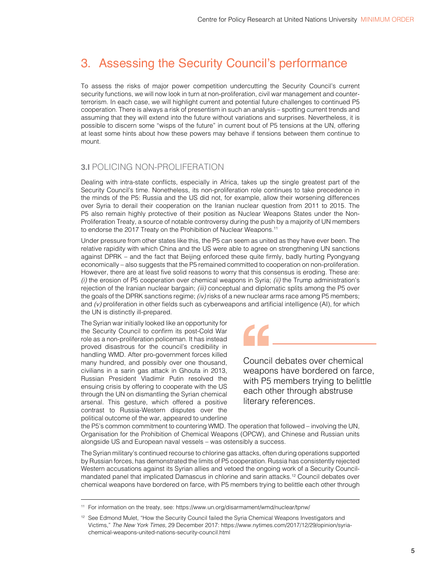# <span id="page-7-0"></span>3. Assessing the Security Council's performance

To assess the risks of major power competition undercutting the Security Council's current security functions, we will now look in turn at non-proliferation, civil war management and counterterrorism. In each case, we will highlight current and potential future challenges to continued P5 cooperation. There is always a risk of presentism in such an analysis – spotting current trends and assuming that they will extend into the future without variations and surprises. Nevertheless, it is possible to discern some "wisps of the future" in current bout of P5 tensions at the UN, offering at least some hints about how these powers may behave if tensions between them continue to mount.

### **3.I POLICING NON-PROLIFERATION**

Dealing with intra-state conflicts, especially in Africa, takes up the single greatest part of the Security Council's time. Nonetheless, its non-proliferation role continues to take precedence in the minds of the P5: Russia and the US did not, for example, allow their worsening differences over Syria to derail their cooperation on the Iranian nuclear question from 2011 to 2015. The P5 also remain highly protective of their position as Nuclear Weapons States under the Non-Proliferation Treaty, a source of notable controversy during the push by a majority of UN members to endorse the 2017 Treaty on the Prohibition of Nuclear Weapons.<sup>11</sup>

Under pressure from other states like this, the P5 can seem as united as they have ever been. The relative rapidity with which China and the US were able to agree on strengthening UN sanctions against DPRK – and the fact that Beijing enforced these quite firmly, badly hurting Pyongyang economically – also suggests that the P5 remained committed to cooperation on non-proliferation. However, there are at least five solid reasons to worry that this consensus is eroding. These are: *(i)* the erosion of P5 cooperation over chemical weapons in Syria; *(ii)* the Trump administration's rejection of the Iranian nuclear bargain; *(iii)* conceptual and diplomatic splits among the P5 over the goals of the DPRK sanctions regime; *(iv)* risks of a new nuclear arms race among P5 members; and  $(v)$  proliferation in other fields such as cyberweapons and artificial intelligence (AI), for which the UN is distinctly ill-prepared.

The Syrian war initially looked like an opportunity for the Security Council to confirm its post-Cold War role as a non-proliferation policeman. It has instead proved disastrous for the council's credibility in handling WMD. After pro-government forces killed many hundred, and possibly over one thousand, civilians in a sarin gas attack in Ghouta in 2013, Russian President Vladimir Putin resolved the ensuing crisis by offering to cooperate with the US through the UN on dismantling the Syrian chemical arsenal. This gesture, which offered a positive contrast to Russia-Western disputes over the political outcome of the war, appeared to underline

Council debates over chemical weapons have bordered on farce, with P5 members trying to belittle each other through abstruse literary references.

the P5's common commitment to countering WMD. The operation that followed – involving the UN, Organisation for the Prohibition of Chemical Weapons (OPCW), and Chinese and Russian units alongside US and European naval vessels – was ostensibly a success.

The Syrian military's continued recourse to chlorine gas attacks, often during operations supported by Russian forces, has demonstrated the limits of P5 cooperation. Russia has consistently rejected Western accusations against its Syrian allies and vetoed the ongoing work of a Security Councilmandated panel that implicated Damascus in chlorine and sarin attacks.12 Council debates over chemical weapons have bordered on farce, with P5 members trying to belittle each other through

<sup>11</sup> For information on the treaty, see:<https://www.un.org/disarmament/wmd/nuclear/tpnw/>

<sup>&</sup>lt;sup>12</sup> See Edmond Mulet, "How the Security Council failed the Syria Chemical Weapons Investigators and Victims," *The New York Times*, 29 December 2017: [https://www.nytimes.com/2017/12/29/opinion/syria](https://www.nytimes.com/2017/12/29/opinion/syria-chemical-weapons-united-nations-security-council.html)[chemical-weapons-united-nations-security-council.html](https://www.nytimes.com/2017/12/29/opinion/syria-chemical-weapons-united-nations-security-council.html)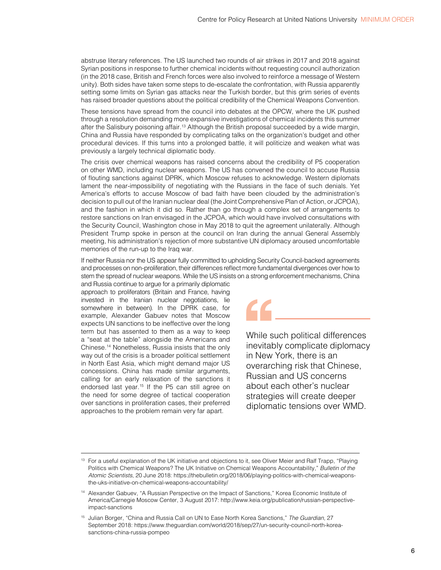abstruse literary references. The US launched two rounds of air strikes in 2017 and 2018 against Syrian positions in response to further chemical incidents without requesting council authorization (in the 2018 case, British and French forces were also involved to reinforce a message of Western unity). Both sides have taken some steps to de-escalate the confrontation, with Russia apparently setting some limits on Syrian gas attacks near the Turkish border, but this grim series of events has raised broader questions about the political credibility of the Chemical Weapons Convention.

These tensions have spread from the council into debates at the OPCW, where the UK pushed through a resolution demanding more expansive investigations of chemical incidents this summer after the Salisbury poisoning affair.13 Although the British proposal succeeded by a wide margin, China and Russia have responded by complicating talks on the organization's budget and other procedural devices. If this turns into a prolonged battle, it will politicize and weaken what was previously a largely technical diplomatic body.

The crisis over chemical weapons has raised concerns about the credibility of P5 cooperation on other WMD, including nuclear weapons. The US has convened the council to accuse Russia of flouting sanctions against DPRK, which Moscow refuses to acknowledge. Western diplomats lament the near-impossibility of negotiating with the Russians in the face of such denials. Yet America's efforts to accuse Moscow of bad faith have been clouded by the administration's decision to pull out of the Iranian nuclear deal (the Joint Comprehensive Plan of Action, or JCPOA), and the fashion in which it did so. Rather than go through a complex set of arrangements to restore sanctions on Iran envisaged in the JCPOA, which would have involved consultations with the Security Council, Washington chose in May 2018 to quit the agreement unilaterally. Although President Trump spoke in person at the council on Iran during the annual General Assembly meeting, his administration's rejection of more substantive UN diplomacy aroused uncomfortable memories of the run-up to the Iraq war.

If neither Russia nor the US appear fully committed to upholding Security Council-backed agreements and processes on non-proliferation, their differences reflect more fundamental divergences over how to stem the spread of nuclear weapons. While the US insists on a strong enforcement mechanisms, China

and Russia continue to argue for a primarily diplomatic approach to proliferators (Britain and France, having invested in the Iranian nuclear negotiations, lie somewhere in between). In the DPRK case, for example, Alexander Gabuev notes that Moscow expects UN sanctions to be ineffective over the long term but has assented to them as a way to keep a "seat at the table" alongside the Americans and Chinese.14 Nonetheless, Russia insists that the only way out of the crisis is a broader political settlement in North East Asia, which might demand major US concessions. China has made similar arguments, calling for an early relaxation of the sanctions it endorsed last year.<sup>15</sup> If the P5 can still agree on the need for some degree of tactical cooperation over sanctions in proliferation cases, their preferred approaches to the problem remain very far apart.

While such political differences inevitably complicate diplomacy in New York, there is an overarching risk that Chinese, Russian and US concerns about each other's nuclear

strategies will create deeper diplomatic tensions over WMD.

<sup>&</sup>lt;sup>13</sup> For a useful explanation of the UK initiative and objections to it, see Oliver Meier and Ralf Trapp, "Playing Politics with Chemical Weapons? The UK Initiative on Chemical Weapons Accountability," *Bulletin of the Atomic Scientists*, 20 June 2018: [https://thebulletin.org/2018/06/playing-politics-with-chemical-weapons](https://thebulletin.org/2018/06/playing-politics-with-chemical-weapons-the-uks-initiative-on-chemical-weapons-accountability/)[the-uks-initiative-on-chemical-weapons-accountability/](https://thebulletin.org/2018/06/playing-politics-with-chemical-weapons-the-uks-initiative-on-chemical-weapons-accountability/)

<sup>14</sup> Alexander Gabuev, "A Russian Perspective on the Impact of Sanctions," Korea Economic Institute of America/Carnegie Moscow Center, 3 August 2017: [http://www.keia.org/publication/russian-perspective](http://www.keia.org/publication/russian-perspective-impact-sanctions)[impact-sanctions](http://www.keia.org/publication/russian-perspective-impact-sanctions)

<sup>15</sup> Julian Borger, "China and Russia Call on UN to Ease North Korea Sanctions," *The Guardian*, 27 September 2018: [https://www.theguardian.com/world/2018/sep/27/un-security-council-north-korea](https://www.theguardian.com/world/2018/sep/27/un-security-council-north-korea-sanctions-china-russia-pompeo)[sanctions-china-russia-pompeo](https://www.theguardian.com/world/2018/sep/27/un-security-council-north-korea-sanctions-china-russia-pompeo)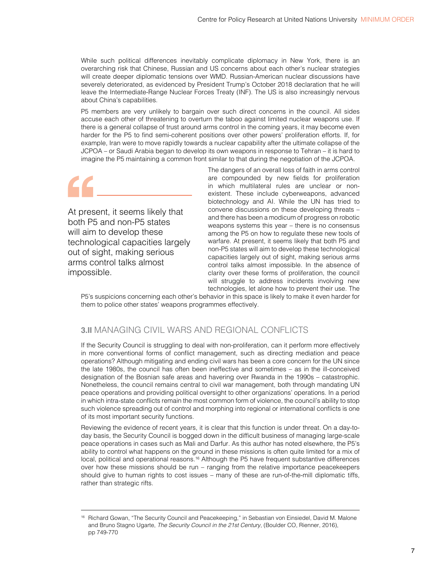<span id="page-9-0"></span>While such political differences inevitably complicate diplomacy in New York, there is an overarching risk that Chinese, Russian and US concerns about each other's nuclear strategies will create deeper diplomatic tensions over WMD. Russian-American nuclear discussions have severely deteriorated, as evidenced by President Trump's October 2018 declaration that he will leave the Intermediate-Range Nuclear Forces Treaty (INF). The US is also increasingly nervous about China's capabilities.

P5 members are very unlikely to bargain over such direct concerns in the council. All sides accuse each other of threatening to overturn the taboo against limited nuclear weapons use. If there is a general collapse of trust around arms control in the coming years, it may become even harder for the P5 to find semi-coherent positions over other powers' proliferation efforts. If, for example, Iran were to move rapidly towards a nuclear capability after the ultimate collapse of the JCPOA – or Saudi Arabia began to develop its own weapons in response to Tehran – it is hard to imagine the P5 maintaining a common front similar to that during the negotiation of the JCPOA.

At present, it seems likely that both P5 and non-P5 states will aim to develop these technological capacities largely out of sight, making serious arms control talks almost impossible.

The dangers of an overall loss of faith in arms control are compounded by new fields for proliferation in which multilateral rules are unclear or nonexistent. These include cyberweapons, advanced biotechnology and AI. While the UN has tried to convene discussions on these developing threats – and there has been a modicum of progress on robotic weapons systems this year – there is no consensus among the P5 on how to regulate these new tools of warfare. At present, it seems likely that both P5 and non-P5 states will aim to develop these technological capacities largely out of sight, making serious arms control talks almost impossible. In the absence of clarity over these forms of proliferation, the council will struggle to address incidents involving new technologies, let alone how to prevent their use. The

P5's suspicions concerning each other's behavior in this space is likely to make it even harder for them to police other states' weapons programmes effectively.

### **3.II** MANAGING CIVIL WARS AND REGIONAL CONFLICTS

If the Security Council is struggling to deal with non-proliferation, can it perform more effectively in more conventional forms of conflict management, such as directing mediation and peace operations? Although mitigating and ending civil wars has been a core concern for the UN since the late 1980s, the council has often been ineffective and sometimes – as in the ill-conceived designation of the Bosnian safe areas and havering over Rwanda in the 1990s – catastrophic. Nonetheless, the council remains central to civil war management, both through mandating UN peace operations and providing political oversight to other organizations' operations. In a period in which intra-state conflicts remain the most common form of violence, the council's ability to stop such violence spreading out of control and morphing into regional or international conflicts is one of its most important security functions.

Reviewing the evidence of recent years, it is clear that this function is under threat. On a day-today basis, the Security Council is bogged down in the difficult business of managing large-scale peace operations in cases such as Mali and Darfur. As this author has noted elsewhere, the P5's ability to control what happens on the ground in these missions is often quite limited for a mix of local, political and operational reasons.<sup>16</sup> Although the P5 have frequent substantive differences over how these missions should be run – ranging from the relative importance peacekeepers should give to human rights to cost issues – many of these are run-of-the-mill diplomatic tiffs, rather than strategic rifts.

<sup>&</sup>lt;sup>16</sup> Richard Gowan, "The Security Council and Peacekeeping," in Sebastian von Einsiedel, David M. Malone and Bruno Stagno Ugarte, *The Security Council in the 21st Century*, (Boulder CO, Rienner, 2016), pp 749-770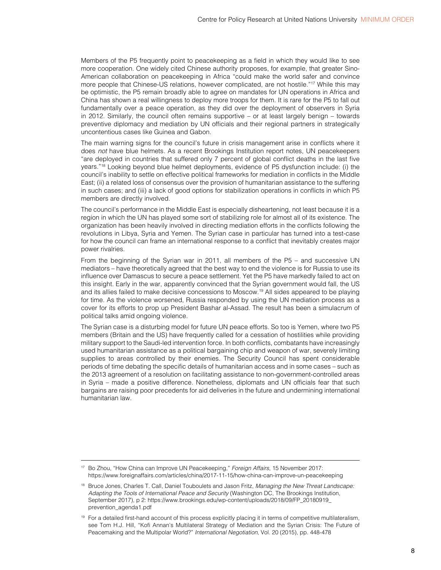Members of the P5 frequently point to peacekeeping as a field in which they would like to see more cooperation. One widely cited Chinese authority proposes, for example, that greater Sino-American collaboration on peacekeeping in Africa "could make the world safer and convince more people that Chinese-US relations, however complicated, are not hostile."<sup>17</sup> While this may be optimistic, the P5 remain broadly able to agree on mandates for UN operations in Africa and China has shown a real willingness to deploy more troops for them. It is rare for the P5 to fall out fundamentally over a peace operation, as they did over the deployment of observers in Syria in 2012. Similarly, the council often remains supportive – or at least largely benign – towards preventive diplomacy and mediation by UN officials and their regional partners in strategically uncontentious cases like Guinea and Gabon.

The main warning signs for the council's future in crisis management arise in conflicts where it does *not* have blue helmets. As a recent Brookings Institution report notes, UN peacekeepers "are deployed in countries that suffered only 7 percent of global conflict deaths in the last five years."18 Looking beyond blue helmet deployments, evidence of P5 dysfunction include: (i) the council's inability to settle on effective political frameworks for mediation in conflicts in the Middle East; (ii) a related loss of consensus over the provision of humanitarian assistance to the suffering in such cases; and (iii) a lack of good options for stabilization operations in conflicts in which P5 members are directly involved.

The council's performance in the Middle East is especially disheartening, not least because it is a region in which the UN has played some sort of stabilizing role for almost all of its existence. The organization has been heavily involved in directing mediation efforts in the conflicts following the revolutions in Libya, Syria and Yemen. The Syrian case in particular has turned into a test-case for how the council can frame an international response to a conflict that inevitably creates major power rivalries.

From the beginning of the Syrian war in 2011, all members of the P5 – and successive UN mediators – have theoretically agreed that the best way to end the violence is for Russia to use its influence over Damascus to secure a peace settlement. Yet the P5 have markedly failed to act on this insight. Early in the war, apparently convinced that the Syrian government would fall, the US and its allies failed to make decisive concessions to Moscow.19 All sides appeared to be playing for time. As the violence worsened, Russia responded by using the UN mediation process as a cover for its efforts to prop up President Bashar al-Assad. The result has been a simulacrum of political talks amid ongoing violence.

The Syrian case is a disturbing model for future UN peace efforts. So too is Yemen, where two P5 members (Britain and the US) have frequently called for a cessation of hostilities while providing military support to the Saudi-led intervention force. In both conflicts, combatants have increasingly used humanitarian assistance as a political bargaining chip and weapon of war, severely limiting supplies to areas controlled by their enemies. The Security Council has spent considerable periods of time debating the specific details of humanitarian access and in some cases – such as the 2013 agreement of a resolution on facilitating assistance to non-government-controlled areas in Syria – made a positive difference. Nonetheless, diplomats and UN officials fear that such bargains are raising poor precedents for aid deliveries in the future and undermining international humanitarian law.

<sup>17</sup> Bo Zhou, "How China can Improve UN Peacekeeping," *Foreign Affairs*, 15 November 2017: <https://www.foreignaffairs.com/articles/china/2017-11-15/how-china-can-improve-un-peacekeeping>

<sup>18</sup> Bruce Jones, Charles T. Call, Daniel Touboulets and Jason Fritz, *Managing the New Threat Landscape: Adapting the Tools of International Peace and Security* (Washington DC, The Brookings Institution, September 2017), p 2: [https://www.brookings.edu/wp-content/uploads/2018/09/FP\\_20180919\\_](https://www.brookings.edu/wp-content/uploads/2018/09/FP_20180919_prevention_agenda1.pdf) [prevention\\_agenda1.pdf](https://www.brookings.edu/wp-content/uploads/2018/09/FP_20180919_prevention_agenda1.pdf)

<sup>&</sup>lt;sup>19</sup> For a detailed first-hand account of this process explicitly placing it in terms of competitive multilateralism, see Tom H.J. Hill, "Kofi Annan's Multilateral Strategy of Mediation and the Syrian Crisis: The Future of Peacemaking and the Multipolar World?" *International Negotiation*, Vol. 20 (2015), pp. 448-478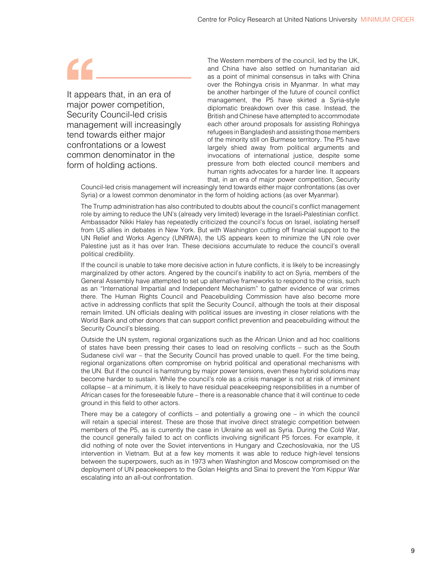It appears that, in an era of major power competition, Security Council-led crisis management will increasingly tend towards either major confrontations or a lowest common denominator in the form of holding actions.

The Western members of the council, led by the UK, and China have also settled on humanitarian aid as a point of minimal consensus in talks with China over the Rohingya crisis in Myanmar. In what may be another harbinger of the future of council conflict management, the P5 have skirted a Syria-style diplomatic breakdown over this case. Instead, the British and Chinese have attempted to accommodate each other around proposals for assisting Rohingya refugees in Bangladesh and assisting those members of the minority still on Burmese territory. The P5 have largely shied away from political arguments and invocations of international justice, despite some pressure from both elected council members and human rights advocates for a harder line. It appears that, in an era of major power competition, Security

Council-led crisis management will increasingly tend towards either major confrontations (as over Syria) or a lowest common denominator in the form of holding actions (as over Myanmar).

The Trump administration has also contributed to doubts about the council's conflict management role by aiming to reduce the UN's (already very limited) leverage in the Israeli-Palestinian conflict. Ambassador Nikki Haley has repeatedly criticized the council's focus on Israel, isolating herself from US allies in debates in New York. But with Washington cutting off financial support to the UN Relief and Works Agency (UNRWA), the US appears keen to minimize the UN role over Palestine just as it has over Iran. These decisions accumulate to reduce the council's overall political credibility.

If the council is unable to take more decisive action in future conflicts, it is likely to be increasingly marginalized by other actors. Angered by the council's inability to act on Syria, members of the General Assembly have attempted to set up alternative frameworks to respond to the crisis, such as an "International Impartial and Independent Mechanism" to gather evidence of war crimes there. The Human Rights Council and Peacebuilding Commission have also become more active in addressing conflicts that split the Security Council, although the tools at their disposal remain limited. UN officials dealing with political issues are investing in closer relations with the World Bank and other donors that can support conflict prevention and peacebuilding without the Security Council's blessing.

Outside the UN system, regional organizations such as the African Union and ad hoc coalitions of states have been pressing their cases to lead on resolving conflicts – such as the South Sudanese civil war – that the Security Council has proved unable to quell. For the time being, regional organizations often compromise on hybrid political and operational mechanisms with the UN. But if the council is hamstrung by major power tensions, even these hybrid solutions may become harder to sustain. While the council's role as a crisis manager is not at risk of imminent collapse – at a minimum, it is likely to have residual peacekeeping responsibilities in a number of African cases for the foreseeable future – there is a reasonable chance that it will continue to cede ground in this field to other actors.

There may be a category of conflicts – and potentially a growing one – in which the council will retain a special interest. These are those that involve direct strategic competition between members of the P5, as is currently the case in Ukraine as well as Syria. During the Cold War, the council generally failed to act on conflicts involving significant P5 forces. For example, it did nothing of note over the Soviet interventions in Hungary and Czechoslovakia, nor the US intervention in Vietnam. But at a few key moments it was able to reduce high-level tensions between the superpowers, such as in 1973 when Washington and Moscow compromised on the deployment of UN peacekeepers to the Golan Heights and Sinai to prevent the Yom Kippur War escalating into an all-out confrontation.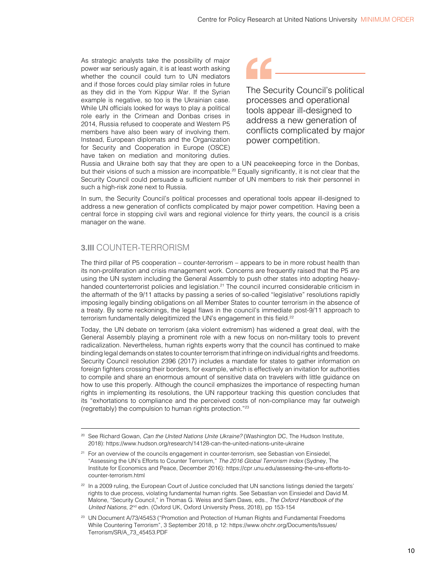<span id="page-12-0"></span>As strategic analysts take the possibility of major power war seriously again, it is at least worth asking whether the council could turn to UN mediators and if those forces could play similar roles in future as they did in the Yom Kippur War. If the Syrian example is negative, so too is the Ukrainian case. While UN officials looked for ways to play a political role early in the Crimean and Donbas crises in 2014, Russia refused to cooperate and Western P5 members have also been wary of involving them. Instead, European diplomats and the Organization for Security and Cooperation in Europe (OSCE) have taken on mediation and monitoring duties.



The Security Council's political processes and operational tools appear ill-designed to address a new generation of conflicts complicated by major power competition.

Russia and Ukraine both say that they are open to a UN peacekeeping force in the Donbas, but their visions of such a mission are incompatible.<sup>20</sup> Equally significantly, it is not clear that the Security Council could persuade a sufficient number of UN members to risk their personnel in such a high-risk zone next to Russia.

In sum, the Security Council's political processes and operational tools appear ill-designed to address a new generation of conflicts complicated by major power competition. Having been a central force in stopping civil wars and regional violence for thirty years, the council is a crisis manager on the wane.

### **3.III** COUNTER-TERRORISM

The third pillar of P5 cooperation – counter-terrorism – appears to be in more robust health than its non-proliferation and crisis management work. Concerns are frequently raised that the P5 are using the UN system including the General Assembly to push other states into adopting heavyhanded counterterrorist policies and legislation.<sup>21</sup> The council incurred considerable criticism in the aftermath of the 9/11 attacks by passing a series of so-called "legislative" resolutions rapidly imposing legally binding obligations on all Member States to counter terrorism in the absence of a treaty. By some reckonings, the legal flaws in the council's immediate post-9/11 approach to terrorism fundamentally delegitimized the UN's engagement in this field.<sup>22</sup>

Today, the UN debate on terrorism (aka violent extremism) has widened a great deal, with the General Assembly playing a prominent role with a new focus on non-military tools to prevent radicalization. Nevertheless, human rights experts worry that the council has continued to make binding legal demands on states to counter terrorism that infringe on individual rights and freedoms. Security Council resolution 2396 (2017) includes a mandate for states to gather information on foreign fighters crossing their borders, for example, which is effectively an invitation for authorities to compile and share an enormous amount of sensitive data on travelers with little guidance on how to use this properly. Although the council emphasizes the importance of respecting human rights in implementing its resolutions, the UN rapporteur tracking this question concludes that its "exhortations to compliance and the perceived costs of non-compliance may far outweigh (regrettably) the compulsion to human rights protection."23

<sup>20</sup> See Richard Gowan, *Can the United Nations Unite Ukraine?* (Washington DC, The Hudson Institute, 2018):<https://www.hudson.org/research/14128-can-the-united-nations-unite-ukraine>

<sup>&</sup>lt;sup>21</sup> For an overview of the councils engagement in counter-terrorism, see Sebastian von Einsiedel, "Assessing the UN's Efforts to Counter Terrorism," *The 2016 Global Terrorism Index* (Sydney, The Institute for Economics and Peace, December 2016): [https://cpr.unu.edu/assessing-the-uns-efforts-to](https://cpr.unu.edu/assessing-the-uns-efforts-to-counter-terrorism.html)[counter-terrorism.html](https://cpr.unu.edu/assessing-the-uns-efforts-to-counter-terrorism.html)

<sup>&</sup>lt;sup>22</sup> In a 2009 ruling, the European Court of Justice concluded that UN sanctions listings denied the targets' rights to due process, violating fundamental human rights. See Sebastian von Einsiedel and David M. Malone, "Security Council," in Thomas G. Weiss and Sam Daws, eds., *The Oxford Handbook of the United Nations*, 2nd edn. (Oxford UK, Oxford University Press, 2018), pp 153-154

<sup>&</sup>lt;sup>23</sup> UN Document A/73/45453 ("Promotion and Protection of Human Rights and Fundamental Freedoms While Countering Terrorism", 3 September 2018, p 12: [https://www.ohchr.org/Documents/Issues/](https://www.ohchr.org/Documents/Issues/Terrorism/SR/A_73_45453.PDF) [Terrorism/SR/A\\_73\\_45453.PDF](https://www.ohchr.org/Documents/Issues/Terrorism/SR/A_73_45453.PDF)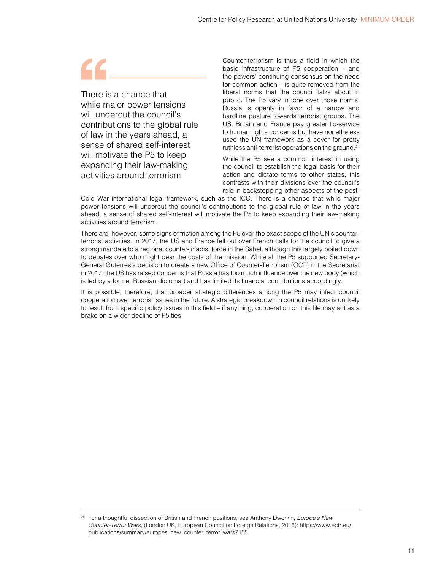There is a chance that while major power tensions will undercut the council's contributions to the global rule of law in the years ahead, a sense of shared self-interest will motivate the P5 to keep expanding their law-making activities around terrorism.

Counter-terrorism is thus a field in which the basic infrastructure of P5 cooperation – and the powers' continuing consensus on the need for common action – is quite removed from the liberal norms that the council talks about in public. The P5 vary in tone over those norms. Russia is openly in favor of a narrow and hardline posture towards terrorist groups. The US, Britain and France pay greater lip-service to human rights concerns but have nonetheless used the UN framework as a cover for pretty ruthless anti-terrorist operations on the ground.<sup>24</sup>

While the P5 see a common interest in using the council to establish the legal basis for their action and dictate terms to other states, this contrasts with their divisions over the council's role in backstopping other aspects of the post-

Cold War international legal framework, such as the ICC. There is a chance that while major power tensions will undercut the council's contributions to the global rule of law in the years ahead, a sense of shared self-interest will motivate the P5 to keep expanding their law-making activities around terrorism.

There are, however, some signs of friction among the P5 over the exact scope of the UN's counterterrorist activities. In 2017, the US and France fell out over French calls for the council to give a strong mandate to a regional counter-jihadist force in the Sahel, although this largely boiled down to debates over who might bear the costs of the mission. While all the P5 supported Secretary-General Guterres's decision to create a new Office of Counter-Terrorism (OCT) in the Secretariat in 2017, the US has raised concerns that Russia has too much influence over the new body (which is led by a former Russian diplomat) and has limited its financial contributions accordingly.

It is possible, therefore, that broader strategic differences among the P5 may infect council cooperation over terrorist issues in the future. A strategic breakdown in council relations is unlikely to result from specific policy issues in this field – if anything, cooperation on this file may act as a brake on a wider decline of P5 ties.

<sup>24</sup> For a thoughtful dissection of British and French positions, see Anthony Dworkin, *Europe's New Counter-Terror Wars*, (London UK, European Council on Foreign Relations, 2016): [https://www.ecfr.eu/](https://www.ecfr.eu/publications/summary/europes_new_counter_terror_wars7155) [publications/summary/europes\\_new\\_counter\\_terror\\_wars7155](https://www.ecfr.eu/publications/summary/europes_new_counter_terror_wars7155)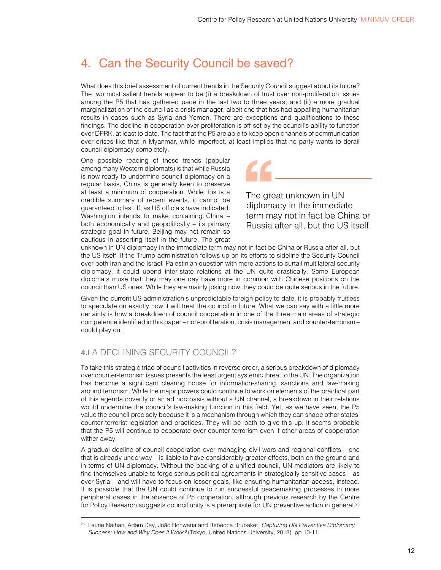# <span id="page-14-0"></span>4. Can the Security Council be saved?

What does this brief assessment of current trends in the Security Council suggest about its future? The two most salient trends appear to be (i) a breakdown of trust over non-proliferation issues among the P5 that has gathered pace in the last two to three years; and (ii) a more gradual marginalization of the council as a crisis manager, albeit one that has had appalling humanitarian results in cases such as Syria and Yemen. There are exceptions and qualifications to these findings. The decline in cooperation over proliferation is off-set by the council's ability to function over DPRK, at least to date. The fact that the P5 are able to keep open channels of communication over crises like that in Myanmar, while imperfect, at least implies that no party wants to derail council diplomacy completely.

One possible reading of these trends (popular among many Western diplomats) is that while Russia is now ready to undermine council diplomacy on a regular basis, China is generally keen to preserve at least a minimum of cooperation. While this is a credible summary of recent events, it cannot be guaranteed to last. If, as US officials have indicated, Washington intends to make containing China – both economically and geopolitically – its primary strategic goal in future, Beijing may not remain so cautious in asserting itself in the future. The great

The great unknown in UN

diplomacy in the immediate term may not in fact be China or Russia after all, but the US itself.

unknown in UN diplomacy in the immediate term may not in fact be China or Russia after all, but the US itself. If the Trump administration follows up on its efforts to sideline the Security Council over both Iran and the Israeli-Palestinian question with more actions to curtail multilateral security diplomacy, it could upend inter-state relations at the UN quite drastically. Some European diplomats muse that they may one day have more in common with Chinese positions on the council than US ones. While they are mainly joking now, they could be quite serious in the future.

Given the current US administration's unpredictable foreign policy to date, it is probably fruitless to speculate on exactly how it will treat the council in future. What we can say with a little more certainty is how a breakdown of council cooperation in one of the three main areas of strategic competence identified in this paper – non-proliferation, crisis management and counter-terrorism – could play out.

### **4.I** A DECLINING SECURITY COUNCIL?

To take this strategic triad of council activities in reverse order, a serious breakdown of diplomacy over counter-terrorism issues presents the least urgent systemic threat to the UN. The organization has become a significant clearing house for information-sharing, sanctions and law-making around terrorism. While the major powers could continue to work on elements of the practical part of this agenda covertly or an ad hoc basis without a UN channel, a breakdown in their relations would undermine the council's law-making function in this field. Yet, as we have seen, the P5 value the council precisely because it is a mechanism through which they can shape other states' counter-terrorist legislation and practices. They will be loath to give this up. It seems probable that the P5 will continue to cooperate over counter-terrorism even if other areas of cooperation wither away.

A gradual decline of council cooperation over managing civil wars and regional conflicts – one that is already underway – is liable to have considerably greater effects, both on the ground and in terms of UN diplomacy. Without the backing of a unified council, UN mediators are likely to find themselves unable to forge serious political agreements in strategically sensitive cases – as over Syria – and will have to focus on lesser goals, like ensuring humanitarian access, instead. It is possible that the UN could continue to run successful peacemaking processes in more peripheral cases in the absence of P5 cooperation, although previous research by the Centre for Policy Research suggests council unity is a prerequisite for UN preventive action in general.<sup>25</sup>

<sup>25</sup> Laurie Nathan, Adam Day, João Honwana and Rebecca Brubaker, *Capturing UN Preventive Diplomacy Success: How and Why Does it Work?* (Tokyo, United Nations University, 2018), pp 10-11.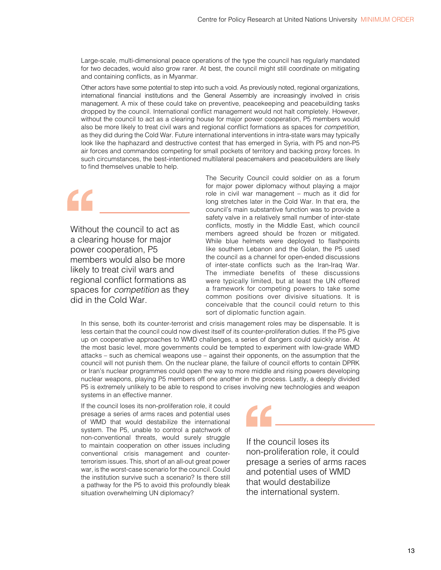Large-scale, multi-dimensional peace operations of the type the council has regularly mandated for two decades, would also grow rarer. At best, the council might still coordinate on mitigating and containing conflicts, as in Myanmar.

Other actors have some potential to step into such a void. As previously noted, regional organizations, international financial institutions and the General Assembly are increasingly involved in crisis management. A mix of these could take on preventive, peacekeeping and peacebuilding tasks dropped by the council. International conflict management would not halt completely. However, without the council to act as a clearing house for major power cooperation, P5 members would also be more likely to treat civil wars and regional conflict formations as spaces for *competition*, as they did during the Cold War. Future international interventions in intra-state wars may typically look like the haphazard and destructive contest that has emerged in Syria, with P5 and non-P5 air forces and commandos competing for small pockets of territory and backing proxy forces. In such circumstances, the best-intentioned multilateral peacemakers and peacebuilders are likely to find themselves unable to help.

Without the council to act as a clearing house for major power cooperation, P5 members would also be more likely to treat civil wars and regional conflict formations as spaces for *competition* as they did in the Cold War.

The Security Council could soldier on as a forum for major power diplomacy without playing a major role in civil war management – much as it did for long stretches later in the Cold War. In that era, the council's main substantive function was to provide a safety valve in a relatively small number of inter-state conflicts, mostly in the Middle East, which council members agreed should be frozen or mitigated. While blue helmets were deployed to flashpoints like southern Lebanon and the Golan, the P5 used the council as a channel for open-ended discussions of inter-state conflicts such as the Iran-Iraq War. The immediate benefits of these discussions were typically limited, but at least the UN offered a framework for competing powers to take some common positions over divisive situations. It is conceivable that the council could return to this sort of diplomatic function again.

In this sense, both its counter-terrorist and crisis management roles may be dispensable. It is less certain that the council could now divest itself of its counter-proliferation duties. If the P5 give up on cooperative approaches to WMD challenges, a series of dangers could quickly arise. At the most basic level, more governments could be tempted to experiment with low-grade WMD attacks – such as chemical weapons use – against their opponents, on the assumption that the council will not punish them. On the nuclear plane, the failure of council efforts to contain DPRK or Iran's nuclear programmes could open the way to more middle and rising powers developing nuclear weapons, playing P5 members off one another in the process. Lastly, a deeply divided P5 is extremely unlikely to be able to respond to crises involving new technologies and weapon systems in an effective manner.

If the council loses its non-proliferation role, it could presage a series of arms races and potential uses of WMD that would destabilize the international system. The P5, unable to control a patchwork of non-conventional threats, would surely struggle to maintain cooperation on other issues including conventional crisis management and counterterrorism issues. This, short of an all-out great power war, is the worst-case scenario for the council. Could the institution survive such a scenario? Is there still a pathway for the P5 to avoid this profoundly bleak situation overwhelming UN diplomacy?



If the council loses its non-proliferation role, it could presage a series of arms races and potential uses of WMD that would destabilize the international system.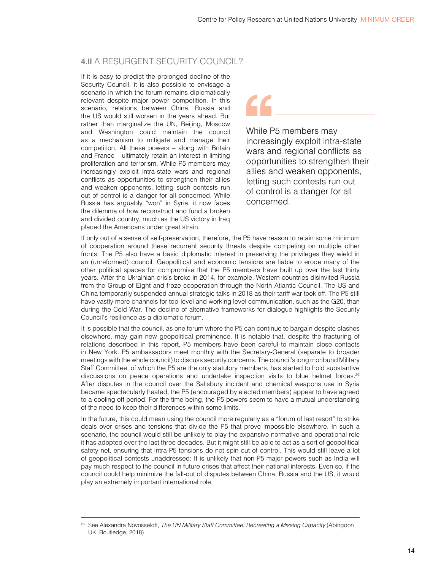### <span id="page-16-0"></span>**4.II** A RESURGENT SECURITY COUNCIL?

If it is easy to predict the prolonged decline of the Security Council, it is also possible to envisage a scenario in which the forum remains diplomatically relevant despite major power competition. In this scenario, relations between China, Russia and the US would still worsen in the years ahead. But rather than marginalize the UN, Beijing, Moscow and Washington could maintain the council as a mechanism to mitigate and manage their competition. All these powers – along with Britain and France – ultimately retain an interest in limiting proliferation and terrorism. While P5 members may increasingly exploit intra-state wars and regional conflicts as opportunities to strengthen their allies and weaken opponents, letting such contests run out of control is a danger for all concerned. While Russia has arguably "won" in Syria, it now faces the dilemma of how reconstruct and fund a broken and divided country, much as the US victory in Iraq placed the Americans under great strain.

While P5 members may increasingly exploit intra-state wars and regional conflicts as opportunities to strengthen their allies and weaken opponents, letting such contests run out of control is a danger for all concerned.

If only out of a sense of self-preservation, therefore, the P5 have reason to retain some minimum of cooperation around these recurrent security threats despite competing on multiple other fronts. The P5 also have a basic diplomatic interest in preserving the privileges they wield in an (unreformed) council. Geopolitical and economic tensions are liable to erode many of the other political spaces for compromise that the P5 members have built up over the last thirty years. After the Ukrainian crisis broke in 2014, for example, Western countries disinvited Russia from the Group of Eight and froze cooperation through the North Atlantic Council. The US and China temporarily suspended annual strategic talks in 2018 as their tariff war took off. The P5 still have vastly more channels for top-level and working level communication, such as the G20, than during the Cold War. The decline of alternative frameworks for dialogue highlights the Security Council's resilience as a diplomatic forum.

It is possible that the council, as one forum where the P5 can continue to bargain despite clashes elsewhere, may gain new geopolitical prominence. It is notable that, despite the fracturing of relations described in this report, P5 members have been careful to maintain close contacts in New York. P5 ambassadors meet monthly with the Secretary-General (separate to broader meetings with the whole council) to discuss security concerns. The council's long moribund Military Staff Committee, of which the P5 are the only statutory members, has started to hold substantive discussions on peace operations and undertake inspection visits to blue helmet forces.26 After disputes in the council over the Salisbury incident and chemical weapons use in Syria became spectacularly heated, the P5 (encouraged by elected members) appear to have agreed to a cooling off period. For the time being, the P5 powers seem to have a mutual understanding of the need to keep their differences within some limits.

In the future, this could mean using the council more regularly as a "forum of last resort" to strike deals over crises and tensions that divide the P5 that prove impossible elsewhere. In such a scenario, the council would still be unlikely to play the expansive normative and operational role it has adopted over the last three decades. But it might still be able to act as a sort of geopolitical safety net, ensuring that intra-P5 tensions do not spin out of control. This would still leave a lot of geopolitical contests unaddressed: It is unlikely that non-P5 major powers such as India will pay much respect to the council in future crises that affect their national interests. Even so, if the council could help minimize the fall-out of disputes between China, Russia and the US, it would play an extremely important international role.

<sup>26</sup> See Alexandra Novosseloff, *The UN Military Staff Committee: Recreating a Missing Capacity* (Abingdon UK, Routledge, 2018)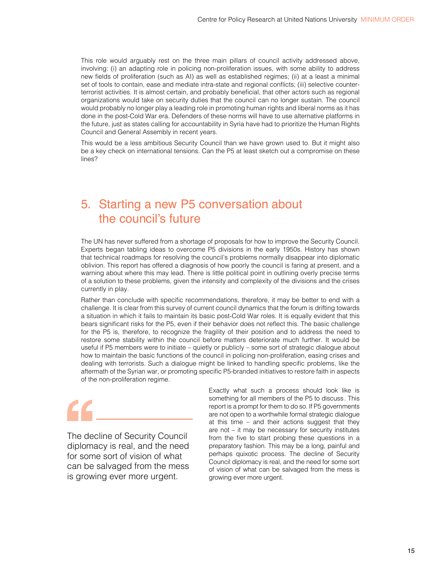<span id="page-17-0"></span>This role would arguably rest on the three main pillars of council activity addressed above, involving: (i) an adapting role in policing non-proliferation issues, with some ability to address new fields of proliferation (such as AI) as well as established regimes; (ii) at a least a minimal set of tools to contain, ease and mediate intra-state and regional conflicts; (iii) selective counterterrorist activities. It is almost certain, and probably beneficial, that other actors such as regional organizations would take on security duties that the council can no longer sustain. The council would probably no longer play a leading role in promoting human rights and liberal norms as it has done in the post-Cold War era. Defenders of these norms will have to use alternative platforms in the future, just as states calling for accountability in Syria have had to prioritize the Human Rights Council and General Assembly in recent years.

This would be a less ambitious Security Council than we have grown used to. But it might also be a key check on international tensions. Can the P5 at least sketch out a compromise on these lines?

## 5. Starting a new P5 conversation about the council's future

The UN has never suffered from a shortage of proposals for how to improve the Security Council. Experts began tabling ideas to overcome P5 divisions in the early 1950s. History has shown that technical roadmaps for resolving the council's problems normally disappear into diplomatic oblivion. This report has offered a diagnosis of how poorly the council is faring at present, and a warning about where this may lead. There is little political point in outlining overly precise terms of a solution to these problems, given the intensity and complexity of the divisions and the crises currently in play.

Rather than conclude with specific recommendations, therefore, it may be better to end with a challenge. It is clear from this survey of current council dynamics that the forum is drifting towards a situation in which it fails to maintain its basic post-Cold War roles. It is equally evident that this bears significant risks for the P5, even if their behavior does not reflect this. The basic challenge for the P5 is, therefore, to recognize the fragility of their position and to address the need to restore some stability within the council before matters deteriorate much further. It would be useful if P5 members were to initiate – quietly or publicly – some sort of strategic dialogue about how to maintain the basic functions of the council in policing non-proliferation, easing crises and dealing with terrorists. Such a dialogue might be linked to handling specific problems, like the aftermath of the Syrian war, or promoting specific P5-branded initiatives to restore faith in aspects of the non-proliferation regime.

The decline of Security Council diplomacy is real, and the need for some sort of vision of what can be salvaged from the mess is growing ever more urgent.

Exactly what such a process should look like is something for all members of the P5 to discuss. This report is a prompt for them to do so. If P5 governments are not open to a worthwhile formal strategic dialogue at this time – and their actions suggest that they are not – it may be necessary for security institutes from the five to start probing these questions in a preparatory fashion. This may be a long, painful and perhaps quixotic process. The decline of Security Council diplomacy is real, and the need for some sort of vision of what can be salvaged from the mess is growing ever more urgent.